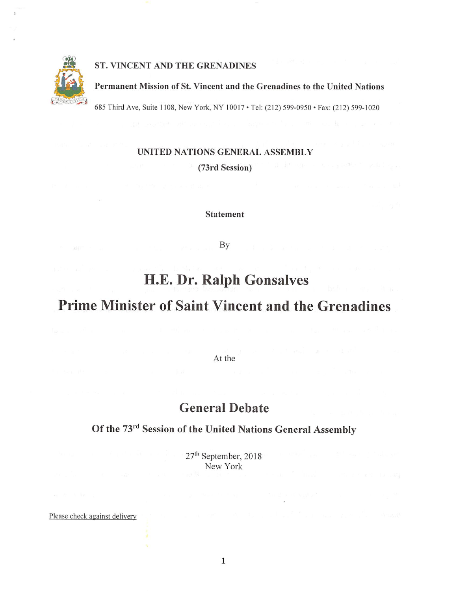

#### ST. VINCENT AND THE GRENADINES

#### Permanent Mission of St. Vincent and the Grenadines to the United Nations

685 Third Ave, Suite 1108, New York, NY 10017 • Tel: (212) 599-0950 • Fax: (212) 599-1020

### UNITED NATIONS GENERAL ASSEMBLY

(73rd Session)

Statement

By

## H.E. Dr. Ralph Gonsalves

# Prime Minister of Saint Vincent and the Grenadines

At the

## General Debate

## Of the 73<sup>rd</sup> Session of the United Nations General Assembly

27<sup>th</sup> September, 2018 New York

Please check against delivery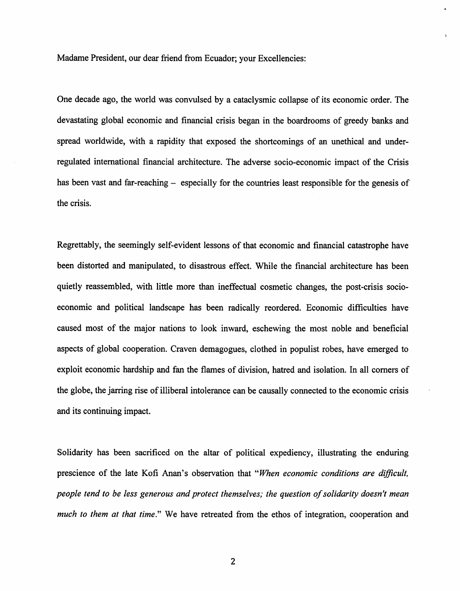Madame President, our dear friend from Ecuador; your Excellencies:

One decade ago, the world was convulsed by a cataclysmic collapse of its economic order. The devastating global economic and financial crisis began in the boardrooms of greedy banks and spread worldwide, with a rapidity that exposed the shortcomings of an unethical and underregulated international financial architecture. The adverse socio-economic impact of the Crisis has been vast and far-reaching – especially for the countries least responsible for the genesis of the crisis.

Regrettably, the seemingly self-evident lessons of that economic and financial catastrophe have been distorted and manipulated, to disastrous effect. While the financial architecture has been quietly reassembled, with little more than ineffectual cosmetic changes, the post-crisis socioeconomic and political landscape has been radically reordered. Economic difficulties have caused most of the major nations to look inward, eschewing the most noble and beneficial aspects of global cooperation. Craven demagogues, clothed in populist robes, have emerged to exploit economic hardship and fan the flames of division, hatred and isolation. In all comers of the globe, the jarring rise of illiberal intolerance can be causally connected to the economic crisis and its continuing impact.

Solidarity has been sacrificed on the altar of political expediency, illustrating the enduring prescience of the late Kofi Anan's observation that "When economic conditions are difficult, people tend to be less generous and protect themselves; the question of solidarity doesn't mean much to them at that time." We have retreated from the ethos of integration, cooperation and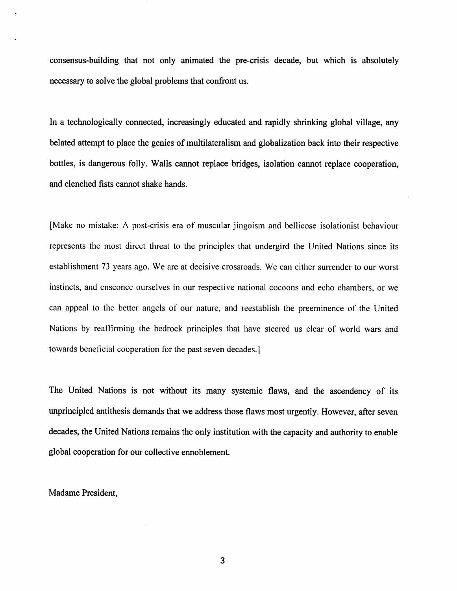consensus-building that not only animated the pre-crisis decade, but which is absolutely necessary to solve the global problems that confront us.

In a technologically connected, increasingly educated and rapidly shrinking global village, any belated attempt to place the genies of multilateralism and globalization back into their respective bottles, is dangerous folly. Walls cannot replace bridges, isolation cannot replace cooperation, and clenched fists cannot shake hands.

[Make no mistake: A post-crisis era of muscular jingoism and bellicose isolationist behaviour represents the most direct threat to the principles that undergird the United Nations since its establishment 73 years ago. We are at decisive crossroads. We can either surrender to our worst instincts, and ensconce ourselves in our respective national cocoons and echo chambers, or we can appeal to the better angels of our nature, and reestablish the preeminence of the United Nations by reaffirming the bedrock principles that have steered us clear of world wars and towards beneficial cooperation for the past seven decades.]

The United Nations is not without its many systemic flaws, and the ascendency of its unprincipled antithesis demands that we address those flaws most urgently. However, after seven decades, the United Nations remains the only institution with the capacity and authority to enable global cooperation for our collective ennoblement.

Madame President,

 $\overline{3}$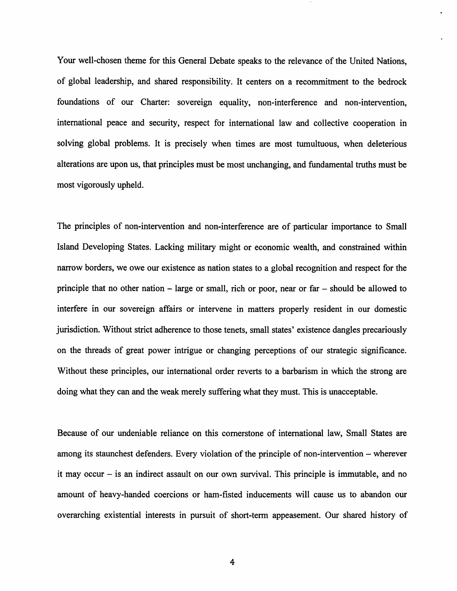Your well-chosen theme for this General Debate speaks to the relevance of the United Nations, of global leadership, and shared responsibility. It centers on a recommitment to the bedrock foundations of our Charter: sovereign equality, non-interference and non-intervention, international peace and security, respect for international law and collective cooperation in solving global problems. It is precisely when times are most tumultuous, when deleterious alterations are upon us, that principles must be most unchanging, and fundamental truths must be most vigorously upheld.

The principles of non-intervention and non-interference are of particular importance to Small Island Developing States. Lacking military might or economic wealth, and constrained within narrow borders, we owe our existence as nation states to a global recognition and respect for the principle that no other nation  $-$  large or small, rich or poor, near or far  $-$  should be allowed to interfere in our sovereign affairs or intervene in matters properly resident in our domestic jurisdiction. Without strict adherence to those tenets, small states' existence dangles precariously on the threads of great power intrigue or changing perceptions of our strategic significance. Without these principles, our international order reverts to a barbarism in which the strong are doing what they can and the weak merely suffering what they must. This is unacceptable.

Because of our undeniable reliance on this cornerstone of international law. Small States are among its staunchest defenders. Every violation of the principle of non-intervention – wherever it may occur  $-$  is an indirect assault on our own survival. This principle is immutable, and no amount of heavy-handed coercions or ham-fisted inducements will cause us to abandon our overarching existential interests in pursuit of short-term appeasement. Our shared history of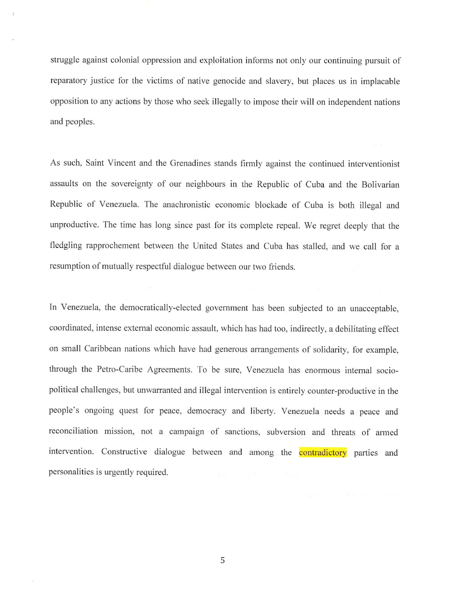struggle against colonial oppression and exploitation informs not only our continuing pursuit of reparatory justice for the victims of native genocide and slavery, but places us in implacable opposition to any actions by those who seek illegally to impose their will on independent nations and peoples.

As such. Saint Vincent and the Grenadines stands firmly against the continued interventionist assaults on the sovereignty of our neighbours in the Republic of Cuba and the Bolivarian Republic of Venezuela. The anachronistic economic blockade of Cuba is both illegal and unproductive. The time has long since past for its complete repeal. We regret deeply that the fledgling rapprochement between the United States and Cuba has stalled, and we call for a resumption of mutually respectful dialogue between our two friends.

In Venezuela, the democratically-elected government has been subjected to an unacceptable, coordinated, intense external economic assault, which has had too, indirectly, a debilitating effect on small Caribbean nations which have had generous arrangements of solidarity, for example, through the Petro-Caribe Agreements. To be sure, Venezuela has enormous intemal socio political challenges, but unwarranted and illegal intervention is entirely counter-productive in the people's ongoing quest for peace, democracy and liberty. Venezuela needs a peace and reconciliation mission, not a campaign of sanctions, subversion and threats of armed intervention. Constructive dialogue between and among the contradictory parties and personalities is urgently required.

5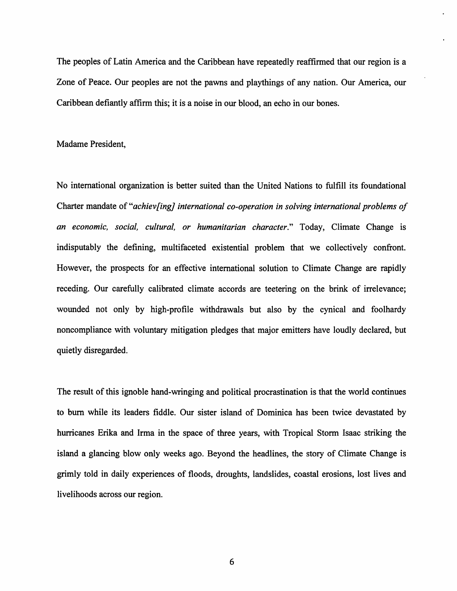The peoples of Latin America and the Caribbean have repeatedly reaffirmed that our region is a Zone of Peace. Our peoples are not the pawns and playthings of any nation. Our America, our Caribbean defiantly affirm this; it is a noise in our blood, an echo in our bones.

#### Madame President,

No intemational organization is better suited than the United Nations to fulfill its foundational Charter mandate of "achiev[ing] international co-operation in solving international problems of an economic, social, cultural, or humanitarian character." Today, Climate Change is indisputably the defining, multifaceted existential problem that we collectively confront. However, the prospects for an effective intemational solution to Climate Change are rapidly receding. Our carefully calibrated climate accords are teetering on the brink of irrelevance; wounded not only by high-profile withdrawals but also by the cynical and foolhardy noncompliance with voluntary mitigation pledges that major emitters have loudly declared, but quietly disregarded.

The result of this ignoble hand-wringing and political procrastination is that the world continues to bum while its leaders fiddle. Our sister island of Dominica has been twice devastated by hurricanes Erika and Irma in the space of three years, with Tropical Storm Isaac striking the island a glancing blow only weeks ago. Beyond the headlines, the story of Climate Change is grimly told in daily experiences of floods, droughts, landslides, coastal erosions, lost lives and livelihoods across our region.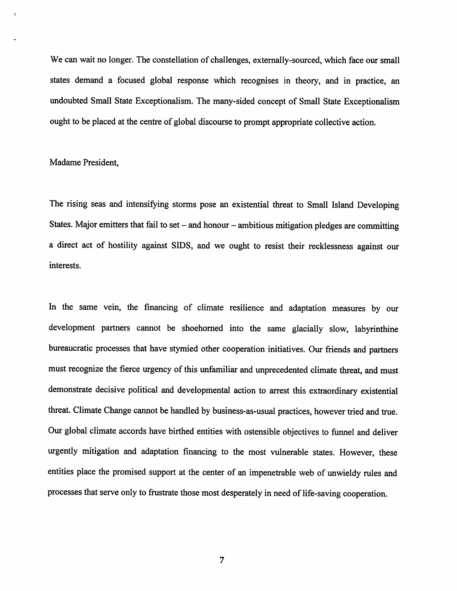We can wait no longer. The constellation of challenges, extemally-sourced, which face our small states demand a focused global response which recognises in theory, and in practice, an undoubted Small State Exceptionalism. The many-sided concept of Small State Exceptionalism ought to be placed at the centre of global discourse to prompt appropriate collective action.

#### Madame President,

The rising seas and intensifying storms pose an existential threat to Small Island Developing States. Major emitters that fail to set – and honour – ambitious mitigation pledges are committing a direct act of hostility against SIDS, and we ought to resist their recklessness against our interests.

In the same vein, the financing of climate resilience and adaptation measures by our development partners cannot be shoehomed into the same glacially slow, labyrinthine bureaucratic processes that have stymied other cooperation initiatives. Our friends and partners must recognize the fierce urgency of this unfamiliar and unprecedented climate threat, and must demonstrate decisive political and developmental action to arrest this extraordinary existential threat. Climate Change cannot be handled by business-as-usual practices, however tried and true. Our global climate accords have birthed entities with ostensible objectives to funnel and deliver urgently mitigation and adaptation financing to the most vulnerable states. However, these entities place the promised support at the center of an impenetrable web of unwieldy rules and processes that serve only to frustrate those most desperately in need of life-saving cooperation.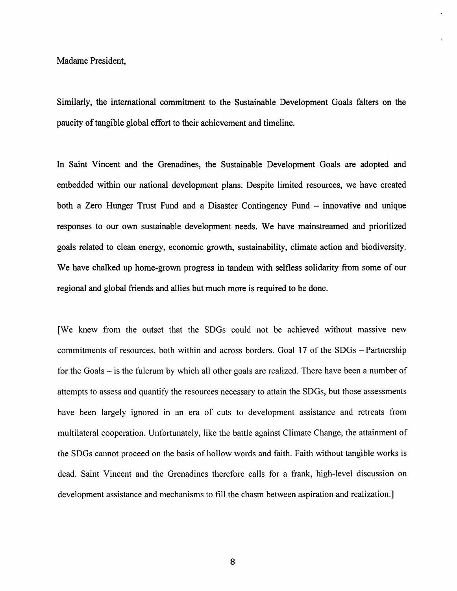#### Madame President,

Similarly, the intemational commitment to the Sustainable Development Goals falters on the paucity of tangible global effort to their achievement and timeline.

In Saint Vincent and the Grenadines, the Sustainable Development Goals are adopted and embedded within our national development plans. Despite limited resources, we have created both a Zero Hunger Trust Fund and a Disaster Contingency Fund – innovative and unique responses to our own sustainable development needs. We have mainstreamed and prioritized goals related to clean energy, economic growth, sustainability, climate action and biodiversity. We have chalked up home-grown progress in tandem with selfless solidarity from some of our regional and global friends and allies but much more is required to be done.

[We knew from the outset that the SDGs could not be achieved without massive new commitments of resources, both within and across borders. Goal 17 of the SDGs - Partnership for the Goals – is the fulcrum by which all other goals are realized. There have been a number of attempts to assess and quantify the resources necessary to attain the SDGs, but those assessments have been largely ignored in an era of cuts to development assistance and retreats from multilateral cooperation. Unfortunately, like the battle against Climate Change, the attainment of the SDGs cannot proceed on the basis of hollow words and faith. Faith without tangible works is dead. Saint Vincent and the Grenadines therefore calls for a frank, high-level discussion on development assistance and mechanisms to fill the chasm between aspiration and realization.]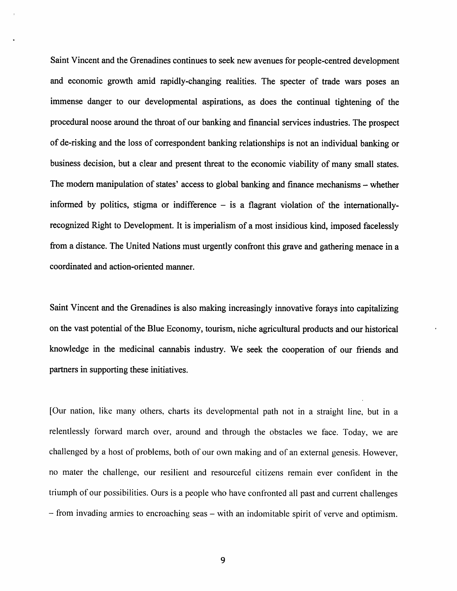Saint Vincent and the Grenadines continues to seek new avenues for people-centred development and economic growth amid rapidly-changing realities. The specter of trade wars poses an immense danger to our developmental aspirations, as does the continual tightening of the procedural noose around the throat of our banking and financial services industries. The prospect of de-risking and the loss of correspondent banking relationships is not an individual banking or business decision, but a clear and present threat to the economic viability of many small states. The modern manipulation of states' access to global banking and finance mechanisms – whether informed by politics, stigma or indifference  $-$  is a flagrant violation of the internationallyrecognized Right to Development. It is imperialism of a most insidious kind, imposed facelessly from a distance. The United Nations must urgently confront this grave and gathering menace in a coordinated and action-oriented manner.

Saint Vincent and the Grenadines is also making increasingly innovative forays into capitalizing on the vast potential of the Blue Economy, tourism, niche agricultural products and our historical knowledge in the medicinal cannabis industry. We seek the cooperation of our friends and partners in supporting these initiatives.

[Our nation, like many others, charts its developmental path not in a straight line, but in a relentlessly forward march over, around and through the obstacles we face. Today, we are challenged by a host of problems, both of our own making and of an external genesis. However, no mater the challenge, our resilient and resourceful citizens remain ever confident in the triumph of our possibilities. Ours is a people who have confronted all past and current challenges - from invading armies to encroaching seas – with an indomitable spirit of verve and optimism.

9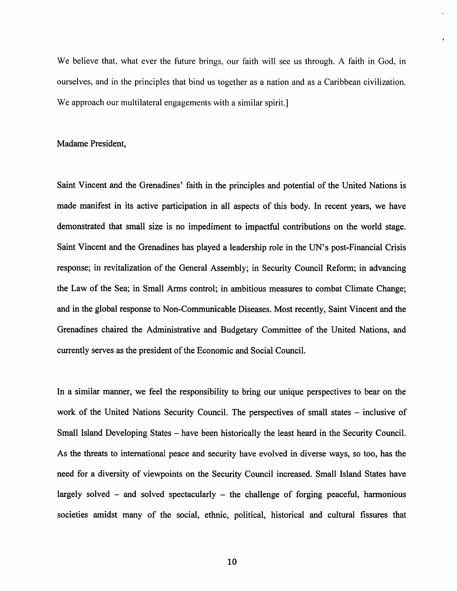We believe that, what ever the future brings, our faith will see us through. A faith in God, in ourselves, and in the principles that bind us together as a nation and as a Caribbean civilization. We approach our multilateral engagements with a similar spirit.

#### Madame President,

Saint Vincent and the Grenadines' faith in the principles and potential of the United Nations is made manifest in its active participation in all aspects of this body. In recent years, we have demonstrated that small size is no impediment to impactful contributions on the world stage. Saint Vincent and the Grenadines has played a leadership role in the UN's post-Financial Crisis response; in revitalization of the General Assembly; in Security Council Reform; in advancing the Law of the Sea; in Small Arms control; in ambitious measures to combat Climate Change; and in the global response to Non-Communicable Diseases. Most recently. Saint Vincent and the Grenadines chaired the Administrative and Budgetary Committee of the United Nations, and currently serves as the president of the Economic and Social Council.

In a similar manner, we feel the responsibility to bring our unique perspectives to bear on the work of the United Nations Security Council. The perspectives of small states – inclusive of Small Island Developing States – have been historically the least heard in the Security Council. As the threats to international peace and security have evolved in diverse ways, so too, has the need for a diversity of viewpoints on the Security Council increased. Small Island States have largely solved  $-$  and solved spectacularly  $-$  the challenge of forging peaceful, harmonious societies amidst many of the social, ethnic, political, historical and cultural fissures that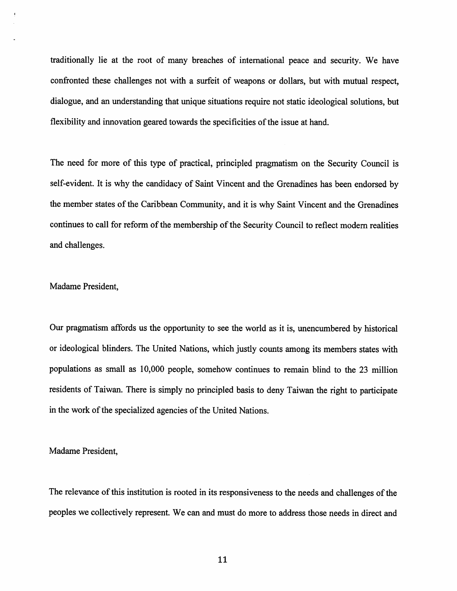traditionally lie at the root of many breaches of international peace and security. We have confronted these challenges not with a surfeit of weapons or dollars, but with mutual respect, dialogue, and an understanding that unique situations require not static ideological solutions, but flexibility and innovation geared towards the specificities of the issue at hand.

The need for more of this type of practical, principled pragmatism on the Security Council is self-evident. It is why the candidacy of Saint Vincent and the Grenadines has been endorsed by the member states of the Caribbean Community, and it is why Saint Vincent and the Grenadines continues to call for reform of the membership of the Security Council to reflect modem realities and challenges.

#### Madame President,

Our pragmatism affords us the opportunity to see the world as it is, unencumbered by historical or ideological blinders. The United Nations, which justly counts among its members states with populations as small as 10,000 people, somehow continues to remain blind to the 23 million residents of Taiwan. There is simply no principled basis to deny Taiwan the right to participate in the work of the specialized agencies of the United Nations.

Madame President,

The relevance of this institution is rooted in its responsiveness to the needs and challenges of the peoples we collectively represent. We can and must do more to address those needs in direct and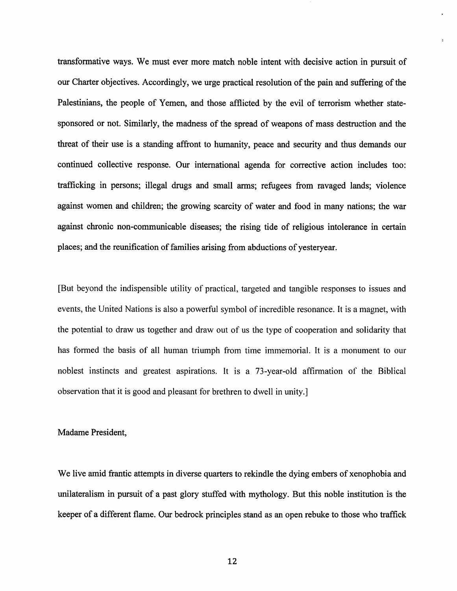transformative ways. We must ever more match noble intent with decisive action in pursuit of our Charter objectives. Accordingly, we urge practical resolution of the pain and suffering of the Palestinians, the people of Yemen, and those afflicted by the evil of terrorism whether statesponsored or not. Similarly, the madness of the spread of weapons of mass destruction and the threat of their use is a standing affront to humanity, peace and security and thus demands our continued collective response. Our international agenda for corrective action includes too: trafficking in persons; illegal drugs and small arms; refugees from ravaged lands; violence against women and children; the growing scarcity of water and food in many nations; the war against chronic non-communicable diseases; the rising tide of religious intolerance in certain places; and the reunification of families arising from abductions of yesteryear.

[But beyond the indispensible utility of practical, targeted and tangible responses to issues and events, the United Nations is also a powerful symbol of incredible resonance. It is a magnet, with the potential to draw us together and draw out of us the type of cooperation and solidarity that has formed the basis of all human triumph from time immemorial. It is a monument to our noblest instincts and greatest aspirations. It is a 73-year-old affirmation of the Biblical observation that it is good and pleasant for brethren to dwell in unity.]

#### Madame President,

We live amid frantic attempts in diverse quarters to rekindle the dying embers of xenophobia and unilateralism in pursuit of a past glory stuffed with mythology. But this noble institution is the keeper of a different flame. Our bedrock principles stand as an open rebuke to those who traffick